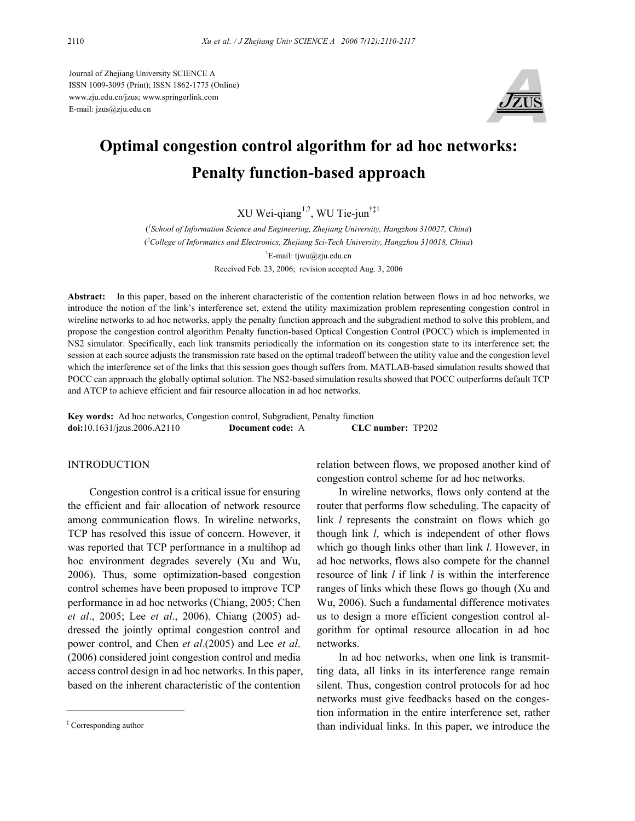Journal of Zhejiang University SCIENCE A ISSN 1009-3095 (Print); ISSN 1862-1775 (Online) www.zju.edu.cn/jzus; www.springerlink.com E-mail: jzus@zju.edu.cn



# **Optimal congestion control algorithm for ad hoc networks: Penalty function-based approach**

XU Wei-qiang<sup>1,2</sup>, WU Tie-jun<sup>†‡1</sup>

( *1 School of Information Science and Engineering, Zhejiang University, Hangzhou 310027, China*) ( *2 College of Informatics and Electronics, Zhejiang Sci-Tech University, Hangzhou 310018, China*) † E-mail: tjwu@zju.edu.cn Received Feb. 23, 2006; revision accepted Aug. 3, 2006

**Abstract:** In this paper, based on the inherent characteristic of the contention relation between flows in ad hoc networks, we introduce the notion of the link's interference set, extend the utility maximization problem representing congestion control in wireline networks to ad hoc networks, apply the penalty function approach and the subgradient method to solve this problem, and propose the congestion control algorithm Penalty function-based Optical Congestion Control (POCC) which is implemented in NS2 simulator. Specifically, each link transmits periodically the information on its congestion state to its interference set; the session at each source adjusts the transmission rate based on the optimal tradeoff between the utility value and the congestion level which the interference set of the links that this session goes though suffers from. MATLAB-based simulation results showed that POCC can approach the globally optimal solution. The NS2-based simulation results showed that POCC outperforms default TCP and ATCP to achieve efficient and fair resource allocation in ad hoc networks.

**Key words:** Ad hoc networks, Congestion control, Subgradient, Penalty function **doi:**10.1631/jzus.2006.A2110 **Document code:** A **CLC number:** TP202

## INTRODUCTION

Congestion control is a critical issue for ensuring the efficient and fair allocation of network resource among communication flows. In wireline networks, TCP has resolved this issue of concern. However, it was reported that TCP performance in a multihop ad hoc environment degrades severely (Xu and Wu, 2006). Thus, some optimization-based congestion control schemes have been proposed to improve TCP performance in ad hoc networks (Chiang, 2005; Chen *et al*., 2005; Lee *et al*., 2006). Chiang (2005) addressed the jointly optimal congestion control and power control, and Chen *et al*.(2005) and Lee *et al*. (2006) considered joint congestion control and media access control design in ad hoc networks. In this paper, based on the inherent characteristic of the contention

relation between flows, we proposed another kind of congestion control scheme for ad hoc networks.

In wireline networks, flows only contend at the router that performs flow scheduling. The capacity of link *l* represents the constraint on flows which go though link *l*, which is independent of other flows which go though links other than link *l*. However, in ad hoc networks, flows also compete for the channel resource of link *l* if link *l* is within the interference ranges of links which these flows go though (Xu and Wu, 2006). Such a fundamental difference motivates us to design a more efficient congestion control algorithm for optimal resource allocation in ad hoc networks.

In ad hoc networks, when one link is transmitting data, all links in its interference range remain silent. Thus, congestion control protocols for ad hoc networks must give feedbacks based on the congestion information in the entire interference set, rather than individual links. In this paper, we introduce the

<sup>‡</sup> Corresponding author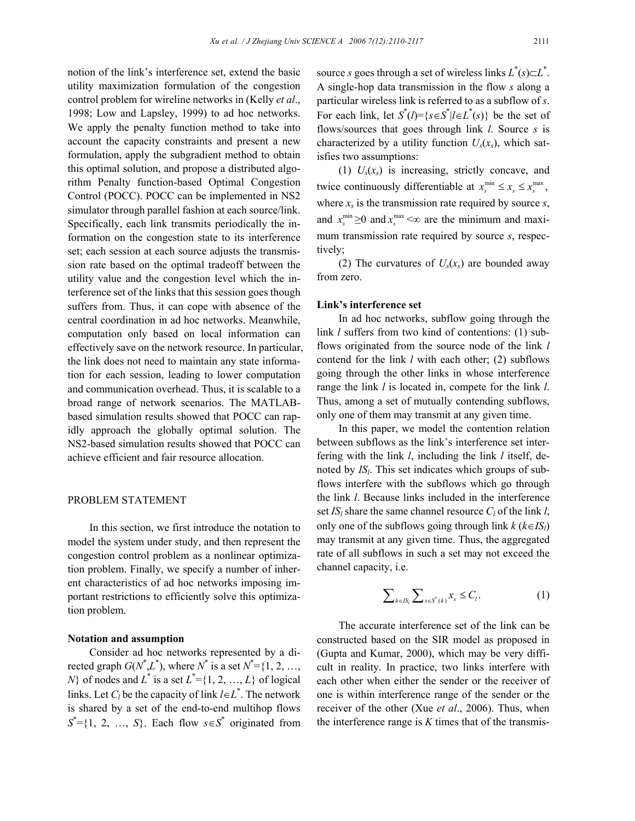notion of the link's interference set, extend the basic utility maximization formulation of the congestion control problem for wireline networks in (Kelly *et al*., 1998; Low and Lapsley, 1999) to ad hoc networks. We apply the penalty function method to take into account the capacity constraints and present a new formulation, apply the subgradient method to obtain this optimal solution, and propose a distributed algorithm Penalty function-based Optimal Congestion Control (POCC). POCC can be implemented in NS2 simulator through parallel fashion at each source/link. Specifically, each link transmits periodically the information on the congestion state to its interference set; each session at each source adjusts the transmission rate based on the optimal tradeoff between the utility value and the congestion level which the interference set of the links that this session goes though suffers from. Thus, it can cope with absence of the central coordination in ad hoc networks. Meanwhile, computation only based on local information can effectively save on the network resource. In particular, the link does not need to maintain any state information for each session, leading to lower computation and communication overhead. Thus, it is scalable to a broad range of network scenarios. The MATLABbased simulation results showed that POCC can rapidly approach the globally optimal solution. The NS2-based simulation results showed that POCC can achieve efficient and fair resource allocation.

## PROBLEM STATEMENT

In this section, we first introduce the notation to model the system under study, and then represent the congestion control problem as a nonlinear optimization problem. Finally, we specify a number of inherent characteristics of ad hoc networks imposing important restrictions to efficiently solve this optimization problem.

## **Notation and assumption**

Consider ad hoc networks represented by a directed graph  $G(N^*, L^*)$ , where  $N^*$  is a set  $N^* = \{1, 2, ...,$ *N*} of nodes and  $L^*$  is a set  $L^* = \{1, 2, ..., L\}$  of logical links. Let  $C_l$  be the capacity of link  $l \in L^*$ . The network is shared by a set of the end-to-end multihop flows  $S^* = \{1, 2, ..., S\}$ . Each flow  $s \in S^*$  originated from

source *s* goes through a set of wireless links  $L^*(s) \subset L^*$ . A single-hop data transmission in the flow *s* along a particular wireless link is referred to as a subflow of *s*. For each link, let  $S^*(l) = \{ s \in S^* | l \in L^*(s) \}$  be the set of flows/sources that goes through link *l*. Source *s* is characterized by a utility function  $U_s(x_s)$ , which satisfies two assumptions:

(1) *Us*(*xs*) is increasing, strictly concave, and twice continuously differentiable at  $x_s^{\text{min}} \le x_s \le x_s^{\text{max}}$ , where  $x_s$  is the transmission rate required by source  $s$ , and  $x_s^{\text{min}} \ge 0$  and  $x_s^{\text{max}} \le \infty$  are the minimum and maximum transmission rate required by source *s*, respectively;

(2) The curvatures of  $U_s(x_s)$  are bounded away from zero.

### **Link's interference set**

In ad hoc networks, subflow going through the link *l* suffers from two kind of contentions: (1) subflows originated from the source node of the link *l* contend for the link *l* with each other; (2) subflows going through the other links in whose interference range the link *l* is located in, compete for the link *l*. Thus, among a set of mutually contending subflows, only one of them may transmit at any given time.

In this paper, we model the contention relation between subflows as the link's interference set interfering with the link *l*, including the link *l* itself, denoted by *IS<sub>l</sub>*. This set indicates which groups of subflows interfere with the subflows which go through the link *l*. Because links included in the interference set  $IS_i$  share the same channel resource  $C_i$  of the link *l*, only one of the subflows going through link  $k$  ( $k \in IS$ ) may transmit at any given time. Thus, the aggregated rate of all subflows in such a set may not exceed the channel capacity, i.e.

$$
\sum_{k \in I S_i} \sum_{s \in S^*(k)} x_s \le C_l.
$$
 (1)

The accurate interference set of the link can be constructed based on the SIR model as proposed in (Gupta and Kumar, 2000), which may be very difficult in reality. In practice, two links interfere with each other when either the sender or the receiver of one is within interference range of the sender or the receiver of the other (Xue *et al*., 2006). Thus, when the interference range is  $K$  times that of the transmis-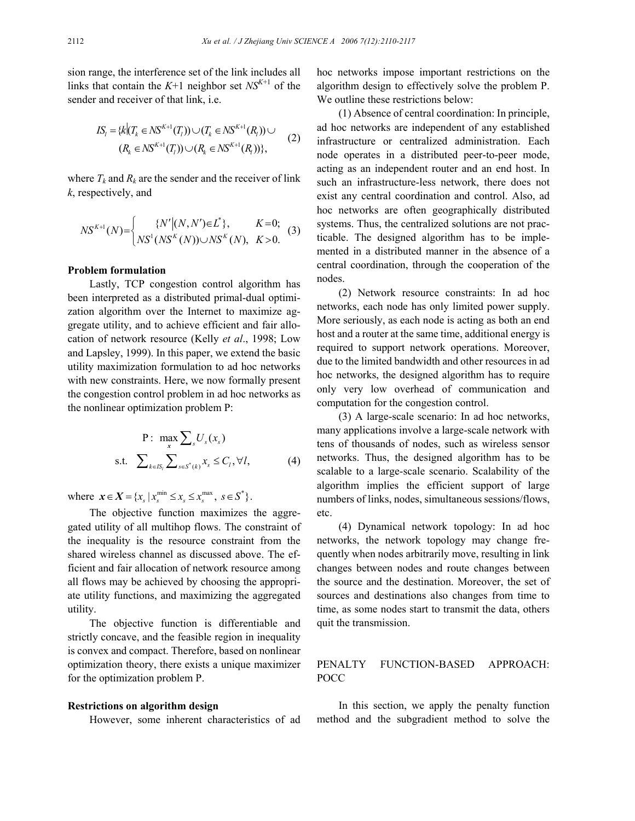sion range, the interference set of the link includes all links that contain the  $K+1$  neighbor set  $NS^{K+1}$  of the sender and receiver of that link, i.e.

$$
IS_{l} = \{k | (T_{k} \in NS^{K+1}(T_{l})) \cup (T_{k} \in NS^{K+1}(R_{l})) \cup (R_{k} \in NS^{K+1}(T_{l})) \cup (R_{k} \in NS^{K+1}(R_{l}))\},
$$
\n
$$
(2)
$$

where  $T_k$  and  $R_k$  are the sender and the receiver of link *k*, respectively, and

$$
NS^{K+1}(N) = \begin{cases} \{N'|(N,N') \in L^*\}, & K = 0; \\ NS^1(NS^K(N)) \cup NS^K(N), & K > 0. \end{cases}
$$
 (3)

## **Problem formulation**

Lastly, TCP congestion control algorithm has been interpreted as a distributed primal-dual optimization algorithm over the Internet to maximize aggregate utility, and to achieve efficient and fair allocation of network resource (Kelly *et al*., 1998; Low and Lapsley, 1999). In this paper, we extend the basic utility maximization formulation to ad hoc networks with new constraints. Here, we now formally present the congestion control problem in ad hoc networks as the nonlinear optimization problem P:

P: 
$$
\max_{\mathbf{x}} \sum_{s} U_{s}(x_{s})
$$
  
s.t. 
$$
\sum_{k \in IS_{l}} \sum_{s \in S^{*}(k)} x_{s} \leq C_{l}, \forall l,
$$
 (4)

where  $\mathbf{x} \in X = \{x_{\varsigma} \mid x_{\varsigma}^{\min} \leq x_{\varsigma} \leq x_{\varsigma}^{\max}, \varsigma \in S^* \}.$ 

The objective function maximizes the aggregated utility of all multihop flows. The constraint of the inequality is the resource constraint from the shared wireless channel as discussed above. The efficient and fair allocation of network resource among all flows may be achieved by choosing the appropriate utility functions, and maximizing the aggregated utility.

The objective function is differentiable and strictly concave, and the feasible region in inequality is convex and compact. Therefore, based on nonlinear optimization theory, there exists a unique maximizer for the optimization problem P.

#### **Restrictions on algorithm design**

However, some inherent characteristics of ad

hoc networks impose important restrictions on the algorithm design to effectively solve the problem P. We outline these restrictions below:

(1) Absence of central coordination: In principle, ad hoc networks are independent of any established infrastructure or centralized administration. Each node operates in a distributed peer-to-peer mode, acting as an independent router and an end host. In such an infrastructure-less network, there does not exist any central coordination and control. Also, ad hoc networks are often geographically distributed systems. Thus, the centralized solutions are not practicable. The designed algorithm has to be implemented in a distributed manner in the absence of a central coordination, through the cooperation of the nodes.

(2) Network resource constraints: In ad hoc networks, each node has only limited power supply. More seriously, as each node is acting as both an end host and a router at the same time, additional energy is required to support network operations. Moreover, due to the limited bandwidth and other resources in ad hoc networks, the designed algorithm has to require only very low overhead of communication and computation for the congestion control.

(3) A large-scale scenario: In ad hoc networks, many applications involve a large-scale network with tens of thousands of nodes, such as wireless sensor networks. Thus, the designed algorithm has to be scalable to a large-scale scenario. Scalability of the algorithm implies the efficient support of large numbers of links, nodes, simultaneous sessions/flows, etc.

(4) Dynamical network topology: In ad hoc networks, the network topology may change frequently when nodes arbitrarily move, resulting in link changes between nodes and route changes between the source and the destination. Moreover, the set of sources and destinations also changes from time to time, as some nodes start to transmit the data, others quit the transmission.

# PENALTY FUNCTION-BASED APPROACH: POCC

In this section, we apply the penalty function method and the subgradient method to solve the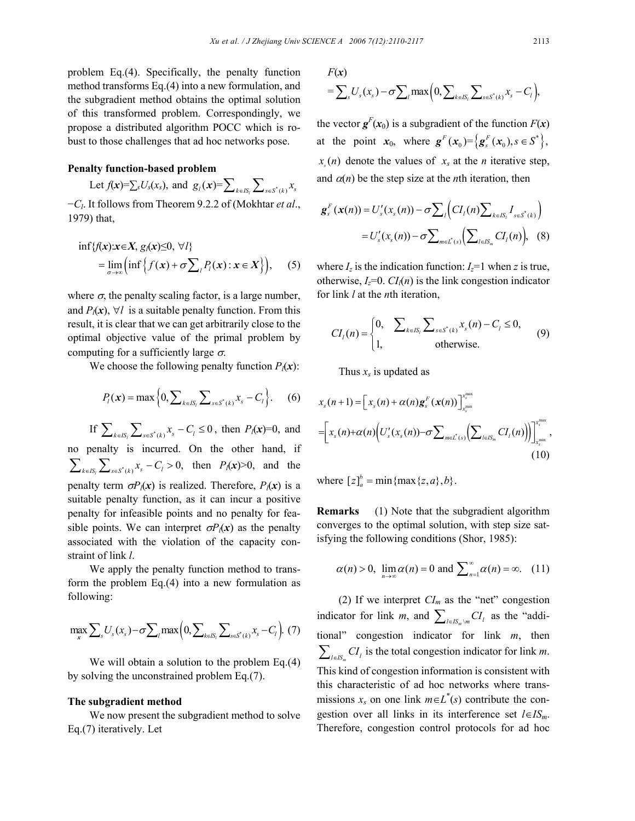problem Eq.(4). Specifically, the penalty function method transforms Eq.(4) into a new formulation, and the subgradient method obtains the optimal solution of this transformed problem. Correspondingly, we propose a distributed algorithm POCC which is robust to those challenges that ad hoc networks pose.

#### **Penalty function-based problem**

Let  $f(x) = \sum_{s} U_s(x_s)$ , and  $g_i(x) = \sum_{k \in \mathbb{N}} \sum_{s \in \mathbb{S}^*(k)} x_s$ −*Cl*. It follows from Theorem 9.2.2 of (Mokhtar *et al*., 1979) that,

$$
\inf \{f(\mathbf{x}): \mathbf{x} \in X, g_{\lambda}(\mathbf{x}) \leq 0, \forall l \}
$$
\n
$$
= \lim_{\sigma \to \infty} \Big( \inf \Big\{ f(\mathbf{x}) + \sigma \sum_{l} P_{l}(\mathbf{x}) : \mathbf{x} \in X \Big\} \Big), \quad (5)
$$

where  $\sigma$ , the penalty scaling factor, is a large number, and  $P_l(x)$ ,  $\forall l$  is a suitable penalty function. From this result, it is clear that we can get arbitrarily close to the optimal objective value of the primal problem by computing for a sufficiently large  $\sigma$ .

We choose the following penalty function  $P_l(x)$ :

$$
P_l(\mathbf{x}) = \max\Big\{0,\sum_{k \in \mathcal{IS}_l}\sum_{s \in \mathcal{S}^*(k)}x_s - C_l\Big\}.\tag{6}
$$

If  $\sum_{k \in I S_i} \sum_{s \in S^*(k)} x_s - C_i \leq 0$ , then  $P_l(\mathbf{x})=0$ , and no penalty is incurred. On the other hand, if  $\sum_{k \in \mathbb{N} \setminus D} \sum_{s \in \mathcal{S}^*(k)} x_s - C_l > 0$ , then  $P_l(\mathbf{x}) > 0$ , and the penalty term  $\sigma P_l(x)$  is realized. Therefore,  $P_l(x)$  is a suitable penalty function, as it can incur a positive penalty for infeasible points and no penalty for feasible points. We can interpret  $\sigma P_l(x)$  as the penalty associated with the violation of the capacity constraint of link *l*.

We apply the penalty function method to transform the problem Eq.(4) into a new formulation as following:

$$
\max_{\mathbf{x}} \sum_{s} U_{s}(x_{s}) - \sigma \sum_{l} \max\left(0, \sum_{k \in \mathcal{S}_{l}} \sum_{s \in \mathcal{S}^{*}(k)} x_{s} - C_{l}\right). (7)
$$

We will obtain a solution to the problem Eq.(4) by solving the unconstrained problem Eq.(7).

### **The subgradient method**

We now present the subgradient method to solve Eq.(7) iteratively. Let

$$
F(\mathbf{x}) = \sum_{s} U_s(x_s) - \sigma \sum_{l} \max\left(0, \sum_{k \in \mathcal{B}_l} \sum_{s \in \mathcal{S}^*(k)} x_s - C_l\right),
$$

the vector  $g^F(x_0)$  is a subgradient of the function  $F(x)$ at the point  $\mathbf{x}_0$ , where  $\mathbf{g}^F(\mathbf{x}_0) = \left\{ \mathbf{g}^F_s(\mathbf{x}_0), s \in S^* \right\},\$  $x_n(n)$  denote the values of  $x_s$  at the *n* iterative step, and  $\alpha(n)$  be the step size at the *n*th iteration, then

$$
\mathbf{g}_{s}^{F}\left(\mathbf{x}(n)\right)=U_{s}'\left(x_{s}(n)\right)-\sigma\sum_{l}\left(CI_{l}(n)\sum\nolimits_{k\in IS_{l}}I_{s\in S^{*}(k)}\right)
$$
\n
$$
=U_{s}'\left(x_{s}(n)\right)-\sigma\sum_{m\in\mathcal{L}\left(s\right)}\left(\sum\nolimits_{l\in IS_{m}}CI_{l}(n)\right),\quad(8)
$$

where  $I_z$  is the indication function:  $I_z = 1$  when *z* is true, otherwise,  $I_7=0$ .  $CI_1(n)$  is the link congestion indicator for link *l* at the *n*th iteration,

$$
CI_{i}(n) = \begin{cases} 0, & \sum_{k \in IS_{i}} \sum_{s \in S^{*}(k)} x_{s}(n) - C_{i} \le 0, \\ 1, & \text{otherwise.} \end{cases} \tag{9}
$$

Thus *xs* is updated as

$$
x_s(n+1) = \left[x_s(n) + \alpha(n)\mathbf{g}_s^F(\mathbf{x}(n))\right]_{x_s^{\min}}^{x_s^{\max}}
$$
  
\n
$$
= \left[x_s(n) + \alpha(n)\left(U'_s(x_s(n)) - \sigma \sum_{m \in \mathcal{L}^*(s)}\left(\sum_{l \in \mathcal{LS}_m} CI_l(n)\right)\right]\right]_{x_s^{\min}},
$$
\n(10)

where  $[z]_a^b = \min{\max{z, a}, b}.$ 

**Remarks** (1) Note that the subgradient algorithm converges to the optimal solution, with step size satisfying the following conditions (Shor, 1985):

$$
\alpha(n) > 0
$$
,  $\lim_{n \to \infty} \alpha(n) = 0$  and  $\sum_{n=1}^{\infty} \alpha(n) = \infty$ . (11)

(2) If we interpret  $CI_m$  as the "net" congestion indicator for link *m*, and  $\sum_{l \in IS_m \setminus m} CI_l$  as the "additional" congestion indicator for link *m*, then  $\sum_{l \in \mathcal{S}_m} CI_l$  is the total congestion indicator for link *m*. This kind of congestion information is consistent with this characteristic of ad hoc networks where transmissions  $x_s$  on one link  $m \in L^*(s)$  contribute the congestion over all links in its interference set *l*∈*ISm*. Therefore, congestion control protocols for ad hoc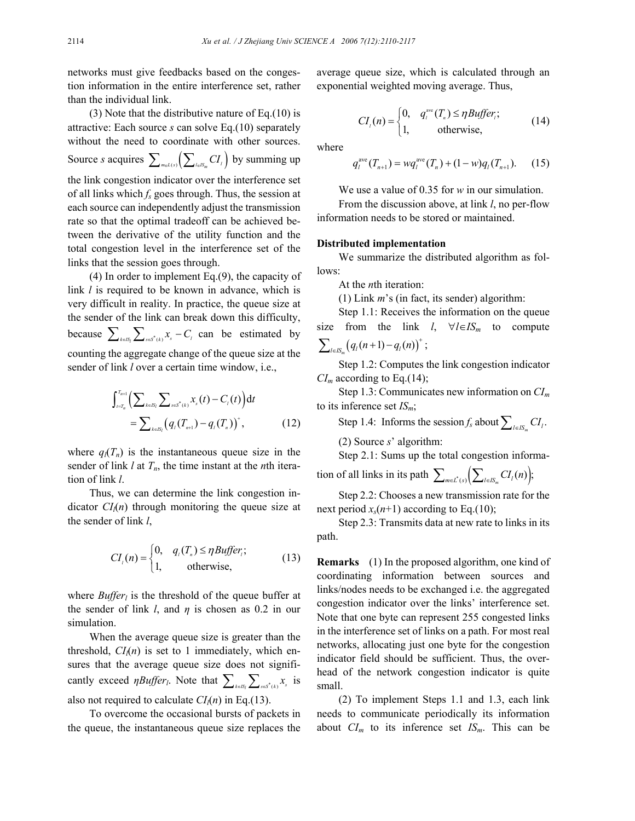networks must give feedbacks based on the congestion information in the entire interference set, rather than the individual link.

(3) Note that the distributive nature of Eq.(10) is attractive: Each source *s* can solve Eq.(10) separately without the need to coordinate with other sources. Source *s* acquires  $\sum_{m \in L(s)} (\sum_{l \in S_m} CI_l)$  by summing up the link congestion indicator over the interference set of all links which *fs* goes through. Thus, the session at each source can independently adjust the transmission rate so that the optimal tradeoff can be achieved between the derivative of the utility function and the total congestion level in the interference set of the links that the session goes through.

(4) In order to implement Eq.(9), the capacity of link *l* is required to be known in advance, which is very difficult in reality. In practice, the queue size at the sender of the link can break down this difficulty, because  $\sum_{k \in \mathcal{S}_i} \sum_{s \in \mathcal{S}^*(k)} x_s - C_i$  can be estimated by counting the aggregate change of the queue size at the sender of link *l* over a certain time window, i.e.,

$$
\int_{t=T_n}^{T_{n+1}} \left( \sum_{k \in S_l} \sum_{s \in S^*(k)} x_s(t) - C_i(t) \right) dt
$$
  
= 
$$
\sum_{k \in S_l} \left( q_i(T_{n+1}) - q_i(T_n) \right)^+,
$$
 (12)

where  $q_l(T_n)$  is the instantaneous queue size in the sender of link *l* at *Tn*, the time instant at the *n*th iteration of link *l*.

Thus, we can determine the link congestion indicator  $CI(n)$  through monitoring the queue size at the sender of link *l*,

$$
CI_{i}(n) = \begin{cases} 0, & q_{i}(T_{n}) \leq n \text{Buffer}_{i}; \\ 1, & \text{otherwise}, \end{cases}
$$
 (13)

where *Buffer*<sub>l</sub> is the threshold of the queue buffer at the sender of link *l*, and  $\eta$  is chosen as 0.2 in our simulation.

When the average queue size is greater than the threshold,  $CI(n)$  is set to 1 immediately, which ensures that the average queue size does not significantly exceed *ηBuffer<sub>l</sub>*. Note that  $\sum_{k \in \mathcal{B}_l} \sum_{s \in S^*(k)} x_s$  is also not required to calculate  $CI<sub>l</sub>(n)$  in Eq.(13).

To overcome the occasional bursts of packets in the queue, the instantaneous queue size replaces the

average queue size, which is calculated through an exponential weighted moving average. Thus,

$$
CIi(n) = \begin{cases} 0, & q_i^{ave}(T_n) \le n\text{Buffer}; \\ 1, & \text{otherwise}, \end{cases}
$$
 (14)

where

$$
q_l^{\text{ave}}(T_{n+1}) = wq_l^{\text{ave}}(T_n) + (1 - w)q_l(T_{n+1}). \tag{15}
$$

We use a value of 0.35 for *w* in our simulation.

From the discussion above, at link *l*, no per-flow information needs to be stored or maintained.

### **Distributed implementation**

We summarize the distributed algorithm as follows:

At the *n*th iteration:

(1) Link *m*'s (in fact, its sender) algorithm:

Step 1.1: Receives the information on the queue size from the link *l*,  $\forall l \in IS_m$  to compute  $\sum_{l \in \mathcal{IS}_m} (q_l (n+1) - q_l (n))^{+};$ 

Step 1.2: Computes the link congestion indicator  $CI_m$  according to Eq.(14);

Step 1.3: Communicates new information on *CIm* to its inference set *ISm*;

Step 1.4: Informs the session  $f_s$  about  $\sum_{l \in \mathcal{S}} CI_l$ .

(2) Source *s*' algorithm:

Step 2.1: Sums up the total congestion informa-

tion of all links in its path  $\sum_{m\in L^*(s)} (\sum_{l\in IS_m} CI_l(n));$ 

Step 2.2: Chooses a new transmission rate for the next period  $x_s(n+1)$  according to Eq.(10);

Step 2.3: Transmits data at new rate to links in its path.

**Remarks** (1) In the proposed algorithm, one kind of coordinating information between sources and links/nodes needs to be exchanged i.e. the aggregated congestion indicator over the links' interference set. Note that one byte can represent 255 congested links in the interference set of links on a path. For most real networks, allocating just one byte for the congestion indicator field should be sufficient. Thus, the overhead of the network congestion indicator is quite small.

(2) To implement Steps 1.1 and 1.3, each link needs to communicate periodically its information about  $CI_m$  to its inference set  $IS_m$ . This can be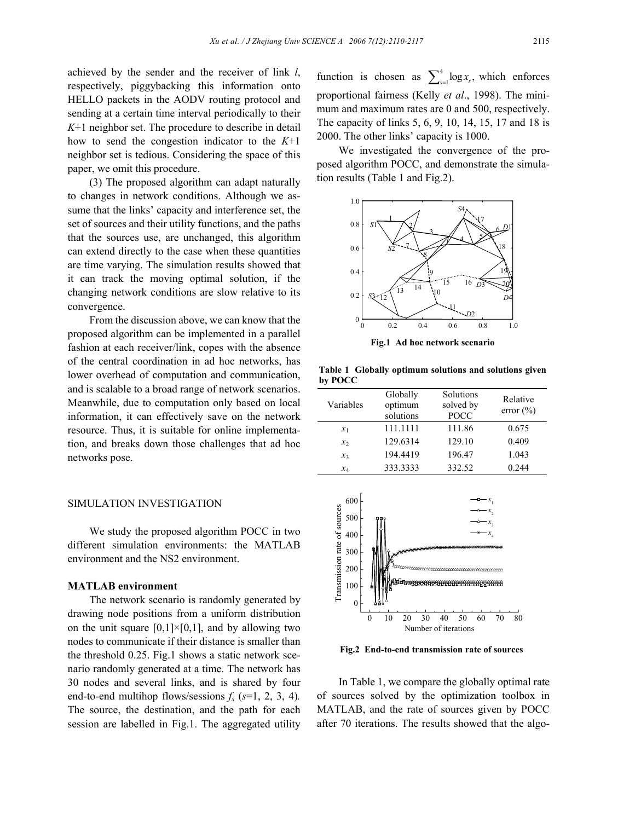achieved by the sender and the receiver of link *l*, respectively, piggybacking this information onto HELLO packets in the AODV routing protocol and sending at a certain time interval periodically to their *K*+1 neighbor set. The procedure to describe in detail how to send the congestion indicator to the *K*+1 neighbor set is tedious. Considering the space of this paper, we omit this procedure.

(3) The proposed algorithm can adapt naturally to changes in network conditions. Although we assume that the links' capacity and interference set, the set of sources and their utility functions, and the paths that the sources use, are unchanged, this algorithm can extend directly to the case when these quantities are time varying. The simulation results showed that it can track the moving optimal solution, if the changing network conditions are slow relative to its convergence.

From the discussion above, we can know that the proposed algorithm can be implemented in a parallel fashion at each receiver/link, copes with the absence of the central coordination in ad hoc networks, has lower overhead of computation and communication, and is scalable to a broad range of network scenarios. Meanwhile, due to computation only based on local information, it can effectively save on the network resource. Thus, it is suitable for online implementation, and breaks down those challenges that ad hoc networks pose.

## SIMULATION INVESTIGATION

We study the proposed algorithm POCC in two different simulation environments: the MATLAB environment and the NS2 environment.

### **MATLAB environment**

The network scenario is randomly generated by drawing node positions from a uniform distribution on the unit square  $[0,1] \times [0,1]$ , and by allowing two nodes to communicate if their distance is smaller than the threshold 0.25. Fig.1 shows a static network scenario randomly generated at a time. The network has 30 nodes and several links, and is shared by four end-to-end multihop flows/sessions *fs* (*s*=1, 2, 3, 4)*.* The source, the destination, and the path for each session are labelled in Fig.1. The aggregated utility

function is chosen as  $\sum_{s=1}^{4} \log x_s$ , which enforces proportional fairness (Kelly *et al*., 1998). The minimum and maximum rates are 0 and 500, respectively. The capacity of links 5, 6, 9, 10, 14, 15, 17 and 18 is 2000. The other links' capacity is 1000.

We investigated the convergence of the proposed algorithm POCC, and demonstrate the simulation results (Table 1 and Fig.2).



**Fig.1 Ad hoc network scenario** 

**Table 1 Globally optimum solutions and solutions given by POCC** 

| Variables          | Globally<br>optimum<br>solutions | Solutions<br>solved by<br><b>POCC</b> | Relative<br>error $(\% )$ |
|--------------------|----------------------------------|---------------------------------------|---------------------------|
| $x_1$              | 111.1111                         | 111.86                                | 0.675                     |
| $\mathfrak{X}_{2}$ | 129.6314                         | 129.10                                | 0.409                     |
| $x_3$              | 194.4419                         | 196.47                                | 1.043                     |
| $x_4$              | 333.3333                         | 332.52                                | 0.244                     |



**Fig.2 End-to-end transmission rate of sources**

In Table 1, we compare the globally optimal rate of sources solved by the optimization toolbox in MATLAB, and the rate of sources given by POCC after 70 iterations. The results showed that the algo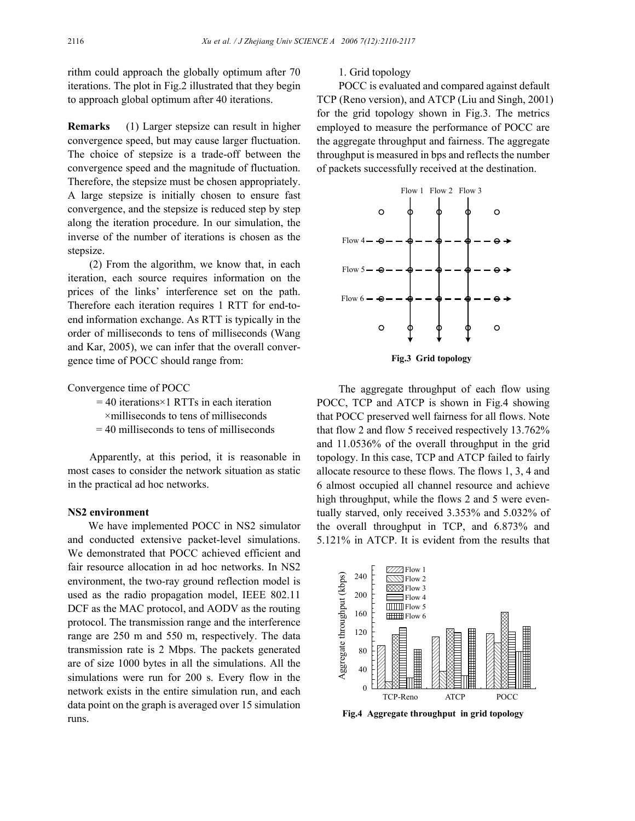rithm could approach the globally optimum after 70 iterations. The plot in Fig.2 illustrated that they begin to approach global optimum after 40 iterations.

**Remarks** (1) Larger stepsize can result in higher convergence speed, but may cause larger fluctuation. The choice of stepsize is a trade-off between the convergence speed and the magnitude of fluctuation. Therefore, the stepsize must be chosen appropriately. A large stepsize is initially chosen to ensure fast convergence, and the stepsize is reduced step by step along the iteration procedure. In our simulation, the inverse of the number of iterations is chosen as the stepsize.

(2) From the algorithm, we know that, in each iteration, each source requires information on the prices of the links' interference set on the path. Therefore each iteration requires 1 RTT for end-toend information exchange. As RTT is typically in the order of milliseconds to tens of milliseconds (Wang and Kar, 2005), we can infer that the overall convergence time of POCC should range from:

## Convergence time of POCC

- $=$  40 iterations $\times$ 1 RTTs in each iteration
- ×milliseconds to tens of milliseconds
- = 40 milliseconds to tens of milliseconds

Apparently, at this period, it is reasonable in most cases to consider the network situation as static in the practical ad hoc networks.

## **NS2 environment**

We have implemented POCC in NS2 simulator and conducted extensive packet-level simulations. We demonstrated that POCC achieved efficient and fair resource allocation in ad hoc networks. In NS2 environment, the two-ray ground reflection model is used as the radio propagation model, IEEE 802.11 DCF as the MAC protocol, and AODV as the routing protocol. The transmission range and the interference range are 250 m and 550 m, respectively. The data transmission rate is 2 Mbps. The packets generated are of size 1000 bytes in all the simulations. All the simulations were run for 200 s. Every flow in the network exists in the entire simulation run, and each data point on the graph is averaged over 15 simulation runs.

### 1. Grid topology

POCC is evaluated and compared against default TCP (Reno version), and ATCP (Liu and Singh, 2001) for the grid topology shown in Fig.3. The metrics employed to measure the performance of POCC are the aggregate throughput and fairness. The aggregate throughput is measured in bps and reflects the number of packets successfully received at the destination.



The aggregate throughput of each flow using POCC, TCP and ATCP is shown in Fig.4 showing that POCC preserved well fairness for all flows. Note that flow 2 and flow 5 received respectively 13.762% and 11.0536% of the overall throughput in the grid topology. In this case, TCP and ATCP failed to fairly allocate resource to these flows. The flows 1, 3, 4 and 6 almost occupied all channel resource and achieve high throughput, while the flows 2 and 5 were eventually starved, only received 3.353% and 5.032% of the overall throughput in TCP, and 6.873% and 5.121% in ATCP. It is evident from the results that



**Fig.4 Aggregate throughput in grid topology**